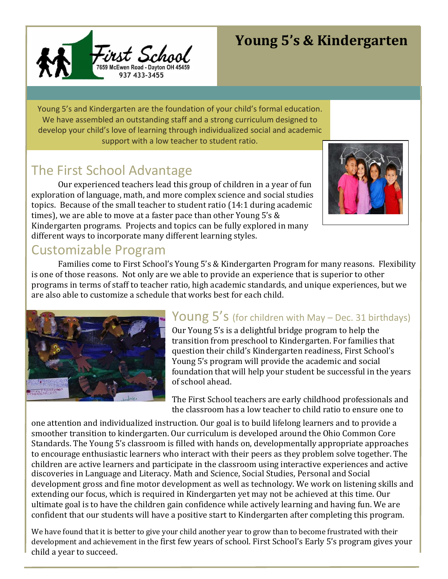

# **Young 5's & Kindergarten**

Young 5's and Kindergarten are the foundation of your child's formal education. We have assembled an outstanding staff and a strong curriculum designed to develop your child's love of learning through individualized social and academic support with a low teacher to student ratio.

# The First School Advantage

Our experienced teachers lead this group of children in a year of fun exploration of language, math, and more complex science and social studies topics. Because of the small teacher to student ratio (14:1 during academic times), we are able to move at a faster pace than other Young 5's & Kindergarten programs. Projects and topics can be fully explored in many different ways to incorporate many different learning styles.



### Customizable Program

Families come to First School's Young 5's & Kindergarten Program for many reasons. Flexibility is one of those reasons. Not only are we able to provide an experience that is superior to other programs in terms of staff to teacher ratio, high academic standards, and unique experiences, but we are also able to customize a schedule that works best for each child.



# Young 5's (for children with May - Dec. 31 birthdays)

Our Young 5's is a delightful bridge program to help the transition from preschool to Kindergarten. For families that question their child's Kindergarten readiness, First School's Young 5's program will provide the academic and social foundation that will help your student be successful in the years of school ahead.

The First School teachers are early childhood professionals and the classroom has a low teacher to child ratio to ensure one to

one attention and individualized instruction. Our goal is to build lifelong learners and to provide a smoother transition to kindergarten. Our curriculum is developed around the Ohio Common Core Standards. The Young 5's classroom is filled with hands on, developmentally appropriate approaches to encourage enthusiastic learners who interact with their peers as they problem solve together. The children are active learners and participate in the classroom using interactive experiences and active discoveries in Language and Literacy. Math and Science, Social Studies, Personal and Social development gross and fine motor development as well as technology. We work on listening skills and extending our focus, which is required in Kindergarten yet may not be achieved at this time. Our ultimate goal is to have the children gain confidence while actively learning and having fun. We are confident that our students will have a positive start to Kindergarten after completing this program.

We have found that it is better to give your child another year to grow than to become frustrated with their development and achievement in the first few years of school. First School's Early 5's program gives your child a year to succeed.